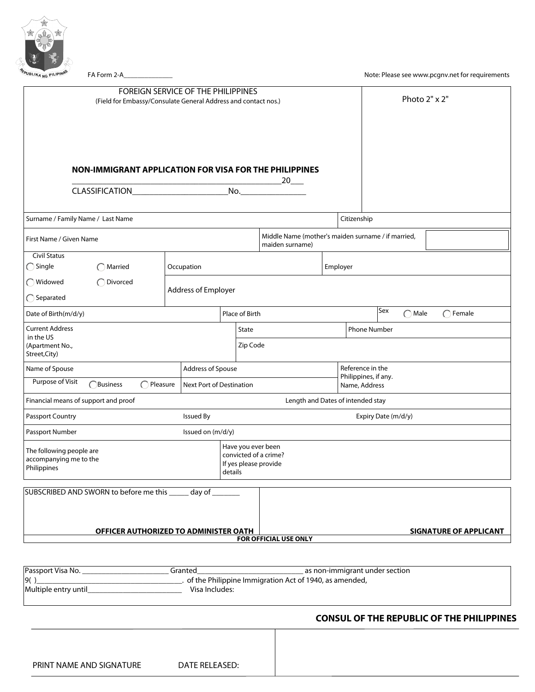

|                                                                   | FOREIGN SERVICE OF THE PHILIPPINES |                                                                                 |                                                                       |          |                  |                      |                |                               |
|-------------------------------------------------------------------|------------------------------------|---------------------------------------------------------------------------------|-----------------------------------------------------------------------|----------|------------------|----------------------|----------------|-------------------------------|
| (Field for Embassy/Consulate General Address and contact nos.)    |                                    |                                                                                 |                                                                       |          |                  |                      | Photo 2" x 2"  |                               |
|                                                                   |                                    |                                                                                 |                                                                       |          |                  |                      |                |                               |
|                                                                   |                                    |                                                                                 |                                                                       |          |                  |                      |                |                               |
|                                                                   |                                    |                                                                                 |                                                                       |          |                  |                      |                |                               |
|                                                                   |                                    |                                                                                 |                                                                       |          |                  |                      |                |                               |
| NON-IMMIGRANT APPLICATION FOR VISA FOR THE PHILIPPINES            |                                    |                                                                                 | 20                                                                    |          |                  |                      |                |                               |
| <b>CLASSIFICATION</b>                                             |                                    | No.                                                                             |                                                                       |          |                  |                      |                |                               |
|                                                                   |                                    |                                                                                 |                                                                       |          |                  |                      |                |                               |
| Surname / Family Name / Last Name                                 |                                    |                                                                                 |                                                                       |          | Citizenship      |                      |                |                               |
| First Name / Given Name                                           |                                    |                                                                                 | Middle Name (mother's maiden surname / if married,<br>maiden surname) |          |                  |                      |                |                               |
| Civil Status                                                      |                                    |                                                                                 |                                                                       |          |                  |                      |                |                               |
| $\bigcirc$ Single<br>◯ Married                                    | Occupation                         |                                                                                 |                                                                       | Employer |                  |                      |                |                               |
| ◯ Widowed<br>Divorced                                             | Address of Employer                |                                                                                 |                                                                       |          |                  |                      |                |                               |
| $\bigcirc$ Separated                                              |                                    |                                                                                 |                                                                       |          |                  |                      |                |                               |
| Date of Birth(m/d/y)                                              |                                    | Place of Birth                                                                  |                                                                       |          |                  | Sex                  | $\bigcap$ Male | $\bigcap$ Female              |
| <b>Current Address</b><br>in the US                               |                                    | State                                                                           |                                                                       |          |                  | <b>Phone Number</b>  |                |                               |
| (Apartment No.,<br>Street, City)                                  |                                    | Zip Code                                                                        |                                                                       |          |                  |                      |                |                               |
| Name of Spouse                                                    | Address of Spouse                  |                                                                                 |                                                                       |          | Reference in the |                      |                |                               |
| Purpose of Visit<br>Business<br>Pleasure                          | Next Port of Destination           |                                                                                 |                                                                       |          | Name, Address    | Philippines, if any. |                |                               |
| Financial means of support and proof                              |                                    |                                                                                 | Length and Dates of intended stay                                     |          |                  |                      |                |                               |
| <b>Passport Country</b>                                           | <b>Issued By</b>                   |                                                                                 |                                                                       |          |                  | Expiry Date (m/d/y)  |                |                               |
| Passport Number                                                   | Issued on (m/d/y)                  |                                                                                 |                                                                       |          |                  |                      |                |                               |
| The following people are<br>accompanying me to the<br>Philippines |                                    | Have you ever been<br>convicted of a crime?<br>If yes please provide<br>details |                                                                       |          |                  |                      |                |                               |
| SUBSCRIBED AND SWORN to before me this ______ day of ________     |                                    |                                                                                 |                                                                       |          |                  |                      |                |                               |
|                                                                   |                                    |                                                                                 |                                                                       |          |                  |                      |                |                               |
|                                                                   |                                    |                                                                                 |                                                                       |          |                  |                      |                |                               |
| <b>OFFICER AUTHORIZED TO ADMINISTER OATH</b>                      |                                    |                                                                                 |                                                                       |          |                  |                      |                | <b>SIGNATURE OF APPLICANT</b> |
|                                                                   |                                    |                                                                                 | <b>FOR OFFICIAL USE ONLY</b>                                          |          |                  |                      |                |                               |

| Passport Visa No.    | Granted        | as non-immigrant under section                         |
|----------------------|----------------|--------------------------------------------------------|
| 9(                   |                | of the Philippine Immigration Act of 1940, as amended, |
| Multiple entry until | Visa Includes: |                                                        |
|                      |                |                                                        |

## **CONSUL OF THE REPUBLIC OF THE PHILIPPINES**

| PRINT NAME AND SIGNATURE | DATE RELEASED: |
|--------------------------|----------------|
|--------------------------|----------------|

|  | DATE RELEASED |
|--|---------------|
|--|---------------|

FA Form 2-A\_\_\_\_\_\_\_\_\_\_\_\_\_\_ Note: Please see www.pcgnv.net for requirements